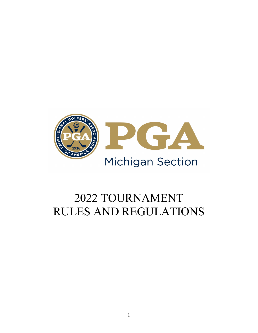

# TOURNAMENT RULES AND REGULATIONS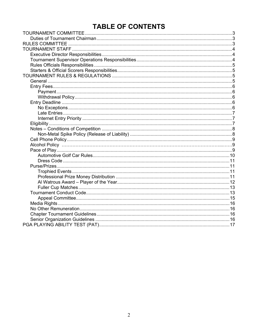# **TABLE OF CONTENTS**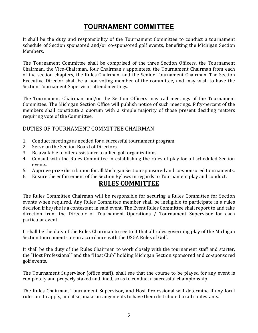# **TOURNAMENT COMMITTEE**

It shall be the duty and responsibility of the Tournament Committee to conduct a tournament schedule of Section sponsored and/or co-sponsored golf events, benefiting the Michigan Section Members.

The Tournament Committee shall be comprised of the three Section Officers, the Tournament Chairman, the Vice-Chairman, four Chairman's appointees, the Tournament Chairman from each of the section chapters, the Rules Chairman, and the Senior Tournament Chairman. The Section Executive Director shall be a non-voting member of the committee, and may wish to have the Section Tournament Supervisor attend meetings.

The Tournament Chairman and/or the Section Officers may call meetings of the Tournament Committee. The Michigan Section Office will publish notice of such meetings. Fifty-percent of the members shall constitute a quorum with a simple majority of those present deciding matters requiring vote of the Committee.

### DUTIES OF TOURNAMENT COMMITTEE CHAIRMAN

- 1. Conduct meetings as needed for a successful tournament program.
- 2. Serve on the Section Board of Directors.
- 3. Be available to offer assistance to allied golf organizations.
- 4. Consult with the Rules Committee in establishing the rules of play for all scheduled Section events.
- 5. Approve prize distribution for all Michigan Section sponsored and co-sponsored tournaments.
- 6. Ensure the enforcement of the Section Bylaws in regards to Tournament play and conduct.

### **RULES COMMITTEE**

The Rules Committee Chairman will be responsible for securing a Rules Committee for Section events when required. Any Rules Committee member shall be ineligible to participate in a rules decision if he/she is a contestant in said event. The Event Rules Committee shall report to and take direction from the Director of Tournament Operations / Tournament Supervisor for each particular event.

It shall be the duty of the Rules Chairman to see to it that all rules governing play of the Michigan Section tournaments are in accordance with the USGA Rules of Golf.

It shall be the duty of the Rules Chairman to work closely with the tournament staff and starter, the "Host Professional" and the "Host Club" holding Michigan Section sponsored and co-sponsored golf events.

The Tournament Supervisor (office staff), shall see that the course to be played for any event is completely and properly staked and lined, so as to conduct a successful championship.

The Rules Chairman, Tournament Supervisor, and Host Professional will determine if any local rules are to apply, and if so, make arrangements to have them distributed to all contestants.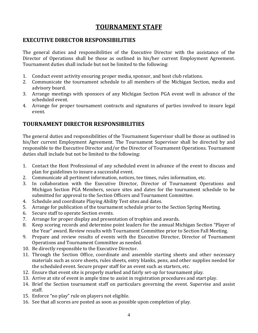## **TOURNAMENT STAFF**

### **EXECUTIVE DIRECTOR RESPONSIBILITIES**

The general duties and responsibilities of the Executive Director with the assistance of the Director of Operations shall be those as outlined in his/her current Employment Agreement. Tournament duties shall include but not be limited to the following:

- 1. Conduct event activity ensuring proper media, sponsor, and host club relations.
- 2. Communicate the tournament schedule to all members of the Michigan Section, media and advisory board.
- 3. Arrange meetings with sponsors of any Michigan Section PGA event well in advance of the scheduled event.
- 4. Arrange for proper tournament contracts and signatures of parties involved to insure legal event.

### **TOURNAMENT DIRECTOR RESPONSIBILITIES**

The general duties and responsibilities of the Tournament Supervisor shall be those as outlined in his/her current Employment Agreement. The Tournament Supervisor shall be directed by and responsible to the Executive Director and/or the Director of Tournament Operations. Tournament duties shall include but not be limited to the following:

- 1. Contact the Host Professional of any scheduled event in advance of the event to discuss and plan for guidelines to insure a successful event.
- 2. Communicate all pertinent information, notices, tee times, rules information, etc.<br>3. In collaboration with the Executive Director. Director of Tournament One
- In collaboration with the Executive Director, Director of Tournament Operations and Michigan Section PGA Members, secure sites and dates for the tournament schedule to be submitted for approval to the Section Officers and Tournament Committee.
- 4. Schedule and coordinate Playing Ability Test sites and dates.
- 5. Arrange for publication of the tournament schedule prior to the Section Spring Meeting.<br>6. Secure staff to operate Section events.
- 6. Secure staff to operate Section events.<br>7. Arrange for proper display and presen
- 7. Arrange for proper display and presentation of trophies and awards.<br>8. Keep scoring records and determine point leaders for the annual Mi
- 8. Keep scoring records and determine point leaders for the annual Michigan Section "Player of the Year" award. Review results with Tournament Committee prior to Section Fall Meeting.
- 9. Prepare and review results of events with the Executive Director, Director of Tournament Operations and Tournament Committee as needed.
- 10. Be directly responsible to the Executive Director.
- 11. Through the Section Office, coordinate and assemble starting sheets and other necessary materials such as score sheets, rules sheets, entry blanks, pens, and other supplies needed for the scheduled event. Secure proper staff for an event such as starters, etc.
- 12. Ensure that event site is properly marked and fairly set-up for tournament play.
- 13. Arrive at site of event in ample time to assist in registration procedures and start play.
- 14. Brief the Section tournament staff on particulars governing the event. Supervise and assist staff.
- 15. Enforce "no play" rule on players not eligible.
- 16. See that all scores are posted as soon as possible upon completion of play.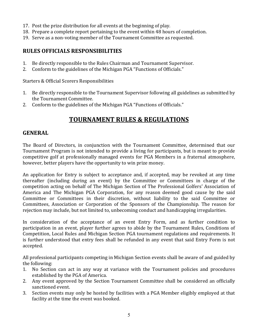- 17. Post the prize distribution for all events at the beginning of play.
- 18. Prepare a complete report pertaining to the event within 48 hours of completion.
- 19. Serve as a non-voting member of the Tournament Committee as requested.

### **RULES OFFICIALS RESPONSIBILITIES**

- 1. Be directly responsible to the Rules Chairman and Tournament Supervisor.<br>2. Conform to the guidelines of the Michigan PGA "Functions of Officials."
- 2. Conform to the guidelines of the Michigan PGA "Functions of Officials."

Starters & Official Scorers Responsibilities

- 1. Be directly responsible to the Tournament Supervisor following all guidelines as submitted by the Tournament Committee.
- 2. Conform to the guidelines of the Michigan PGA "Functions of Officials."

# **TOURNAMENT RULES & REGULATIONS**

### **GENERAL**

The Board of Directors, in conjunction with the Tournament Committee, determined that our Tournament Program is not intended to provide a living for participants, but is meant to provide competitive golf at professionally managed events for PGA Members in a fraternal atmosphere, however, better players have the opportunity to win prize money.

An application for Entry is subject to acceptance and, if accepted, may be revoked at any time thereafter (including during an event) by the Committee or Committees in charge of the competition acting on behalf of The Michigan Section of The Professional Golfers' Association of America and The Michigan PGA Corporation, for any reason deemed good cause by the said Committee or Committees in their discretion, without liability to the said Committee or Committees, Association or Corporation of the Sponsors of the Championship. The reason for rejection may include, but not limited to, unbecoming conduct and handicapping irregularities.

In consideration of the acceptance of an event Entry Form, and as further condition to participation in an event, player further agrees to abide by the Tournament Rules, Conditions of Competition, Local Rules and Michigan Section PGA tournament regulations and requirements. It is further understood that entry fees shall be refunded in any event that said Entry Form is not accepted.

All professional participants competing in Michigan Section events shall be aware of and guided by the following:

- 1. No Section can act in any way at variance with the Tournament policies and procedures established by the PGA of America.
- 2. Any event approved by the Section Tournament Committee shall be considered an officially sanctioned event.
- 3. Section events may only be hosted by facilities with a PGA Member eligibly employed at that facility at the time the event was booked.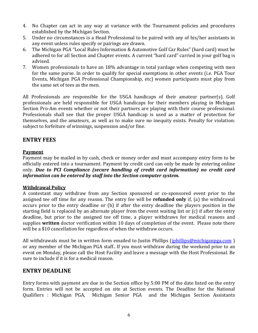- 4. No Chapter can act in any way at variance with the Tournament policies and procedures established by the Michigan Section.
- 5. Under no circumstances is a Head Professional to be paired with any of his/her assistants in any event unless rules specify or pairings are drawn.
- 6. The Michigan PGA "Local Rules Information & Automotive Golf Car Rules" (hard card) must be adhered to for all Section and Chapter events. A current "hard card" carried in your golf bag is advised.
- 7. Women professionals to have an 18% advantage in total yardage when competing with men for the same purse. In order to qualify for special exemptions in other events (i.e. PGA Tour Events, Michigan PGA Professional Championship, etc) women participants must play from the same set of tees as the men.

All Professionals are responsible for the USGA handicaps of their amateur partner(s). Golf professionals are held responsible for USGA handicaps for their members playing in Michigan Section Pro-Am events whether or not their partners are playing with their course professional. Professionals shall see that the proper USGA handicap is used as a matter of protection for themselves, and the amateurs, as well as to make sure no inequity exists. Penalty for violation: subject to forfeiture of winnings, suspension and/or fine.

### **ENTRY FEES**

### **Payment**

Payment may be mailed in by cash, check or money order and must accompany entry form to be officially entered into a tournament. Payment by credit card can only be made by entering online only. *Due to PCI Compliance (secure handling of credit card information) no credit card information can be entered by staff into the Section computer system.*

### **Withdrawal Policy**

A contestant may withdraw from any Section sponsored or co-sponsored event prior to the assigned tee off time for any reason. The entry fee will be **refunded only** if, (a) the withdrawal occurs prior to the entry deadline or (b) if after the entry deadline the players position in the starting field is replaced by an alternate player from the event waiting list or (c) if after the entry deadline, but prior to the assigned tee off time, a player withdraws for medical reasons and supplies **written** doctor verification within 10 days of completion of the event. Please note there will be a \$10 cancellation fee regardless of when the withdraw occurs.

All withdrawals must be in written form emailed to Justin Phillips (*jphillips@michiganpga.com*) or any member of the Michigan PGA staff.. If you must withdraw during the weekend prior to an event on Monday, please call the Host Facility and leave a message with the Host Professional. Be sure to include if it is for a medical reason.

### **ENTRY DEADLINE**

Entry forms with payment are due in the Section office by 5:00 PM of the date listed on the entry form. Entries will not be accepted on site at Section events. The Deadline for the National Oualifiers : Michigan PGA, Michigan Senior PGA and the Michigan Section Assistants Michigan Senior PGA, and the Michigan Section Assistants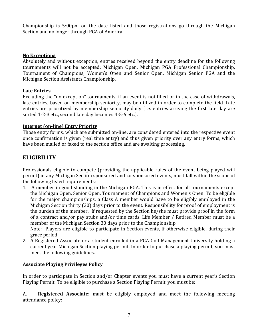Championship is 5:00pm on the date listed and those registrations go through the Michigan Section and no longer through PGA of America.

#### **No Exceptions**

Absolutely and without exception, entries received beyond the entry deadline for the following tournaments will not be accepted: Michigan Open, Michigan PGA Professional Championship, Tournament of Champions, Women's Open and Senior Open, Michigan Senior PGA and the Michigan Section Assistants Championship.

#### **Late Entries**

Excluding the "no exception" tournaments, if an event is not filled or in the case of withdrawals, late entries, based on membership seniority, may be utilized in order to complete the field. Late entries are prioritized by membership seniority daily (i.e. entries arriving the first late day are sorted 1-2-3 etc., second late day becomes 4-5-6 etc.).

#### **Internet (on-line) Entry Priority**

Those entry forms, which are submitted on-line, are considered entered into the respective event once confirmation is given (real time entry) and thus given priority over any entry forms, which have been mailed or faxed to the section office and are awaiting processing.

### **ELIGIBILITY**

Professionals eligible to compete (providing the applicable rules of the event being played will permit) in any Michigan Section sponsored and co-sponsored events, must fall within the scope of the following listed requirements:

1. A member in good standing in the Michigan PGA. This is in effect for all tournaments except the Michigan Open, Senior Open, Tournament of Champions and Women's Open. To be eligible for the major championships, a Class A member would have to be eligibly employed in the Michigan Section thirty (30) days prior to the event. Responsibility for proof of employment is the burden of the member. If requested by the Section he/she must provide proof in the form of a contract and/or pay stubs and/or time cards. Life Member / Retired Member must be a member of the Michigan Section 30 days prior to the Championship.

Note: Players are eligible to participate in Section events, if otherwise eligible, during their grace period.

2. A Registered Associate or a student enrolled in a PGA Golf Management University holding a current year Michigan Section playing permit. In order to purchase a playing permit, you must meet the following guidelines.

### **Associate Playing Privileges Policy**

In order to participate in Section and/or Chapter events you must have a current year's Section Playing Permit. To be eligible to purchase a Section Playing Permit, you must be:

A. **Registered Associate:** must be eligibly employed and meet the following meeting attendance policy: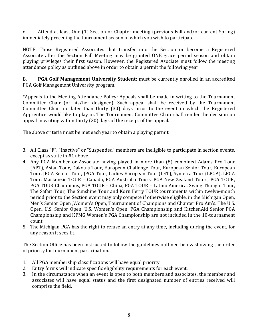• Attend at least One (1) Section or Chapter meeting (previous Fall and/or current Spring) immediately preceding the tournament season in which you wish to participate.

NOTE: Those Registered Associates that transfer into the Section or become a Registered Associate after the Section Fall Meeting may be granted ONE grace period season and obtain playing privileges their first season. However, the Registered Asociate must follow the meeting attendance policy as outlined above in order to obtain a permit the following year.

B. **PGA Golf Management University Student:** must be currently enrolled in an accredited PGA Golf Management University program.

\*Appeals to the Meeting Attendance Policy: Appeals shall be made in writing to the Tournament Committee Chair (or his/her designee). Such appeal shall be received by the Tournament Committee Chair no later than thirty (30) days prior to the event in which the Registered Apprentice would like to play in. The Tournament Committee Chair shall render the decision on appeal in writing within thirty (30) days of the receipt of the appeal.

The above criteria must be met each year to obtain a playing permit.

- 3. All Class "F", "Inactive" or "Suspended" members are ineligible to participate in section events, except as state in #1 above.
- 4. Any PGA Member or Associate having played in more than (8) combined Adams Pro Tour (APT), Asian Tour, Dakotas Tour, European Challenge Tour, European Senior Tour, European Tour, JPGA Senior Tour, JPGA Tour, Ladies European Tour (LET), Symetra Tour (LPGA), LPGA Tour, Mackenzie TOUR – Canada, PGA Australia Tours, PGA New Zealand Tours, PGA TOUR, PGA TOUR Champions, PGA TOUR – China, PGA TOUR – Latino America, Swing Thought Tour, The Safari Tour, The Sunshine Tour and Korn Ferry TOUR tournaments within twelve-month period prior to the Section event may only compete if otherwise eligible, in the Michigan Open, Men's Senior Open ,Women's Open, Tournament of Champions and Chapter Pro Am's. The U.S. Open, U.S. Senior Open, U.S. Women's Open, PGA Championship and KitchenAid Senior PGA Championship and KPMG Women's PGA Championship are not included in the 10-tournament count.
- 5. The Michigan PGA has the right to refuse an entry at any time, including during the event, for any reason it sees fit.

The Section Office has been instructed to follow the guidelines outlined below showing the order of priority for tournament participation.

- 1. All PGA membership classifications will have equal priority.
- 2. Entry forms will indicate specific eligibility requirements for each event.
- 3. In the circumstance when an event is open to both members and associates, the member and associates will have equal status and the first designated number of entries received will comprise the field.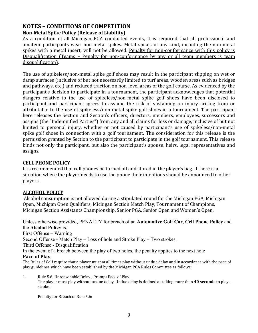### **NOTES – CONDITIONS OF COMPETITION Non-Metal Spike Policy (Release of Liability)**

As a condition of all Michigan PGA conducted events, it is required that all professional and amateur participants wear non-metal spikes. Metal spikes of any kind, including the non-metal spikes with a metal insert, will not be allowed. Penalty for non-conformance with this policy is Disqualification (Teams – Penalty for non-conformance by any or all team members is team disqualification).

The use of spikeless/non-metal spike golf shoes may result in the participant slipping on wet or damp surfaces (inclusive of but not necessarily limited to turf areas, wooden areas such as bridges and pathways, etc.) and reduced traction on non-level areas of the golf course. As evidenced by the participant's decision to participate in a tournament, the participant acknowledges that potential dangers relative to the use of spikeless/non-metal spike golf shoes have been disclosed to participant and participant agrees to assume the risk of sustaining an injury arising from or attributable to the use of spikeless/non-metal spike golf shoes in a tournament. The participant here releases the Section and Section's officers, directors, members, employees, successors and assigns (the "Indemnified Parties") from any and all claims for loss or damage, inclusive of but not limited to personal injury, whether or not caused by participant's use of spikeless/non-metal spike golf shoes in connection with a golf tournament. The consideration for this release is the permission granted by Section to the participant to participate in the golf tournament. This release binds not only the participant, but also the participant's spouse, heirs, legal representatives and assigns.

### **CELL PHONE POLICY**

It is recommended that cell phones be turned off and stored in the player's bag. If there is a situation where the player needs to use the phone their intentions should be announced to other players.

### **ALCOHOL POLICY**

Alcohol consumption is not allowed during a stipulated round for the Michigan PGA, Michigan Open, Michigan Open Qualifiers, Michigan Section Match Play, Tournament of Champions, Michigan Section Assistants Championship, Senior PGA, Senior Open and Women's Open.

Unless otherwise provided, PENALTY for breach of an **Automotive Golf Car**, **Cell Phone Policy** and the **Alcohol Policy** is:

First Offense – Warning

Second Offense - Match Play – Loss of hole and Stroke Play – Two strokes.

Third Offense - Disqualification

In the event of a breach between the play of two holes, the penalty applies to the next hole

#### **Pace of Play**

The Rules of Golf require that a player must at all times play without undue delay and in accordance with the pace of play guidelines which have been established by the Michigan PGA Rules Committee as follows:

1. Rule 5.6: Unreasonable Delay ; Prompt Pace of Play

The player must play without undue delay. Undue delay is defined as taking more than **40 seconds** to play a stroke.

Penalty for Breach of Rule 5.6: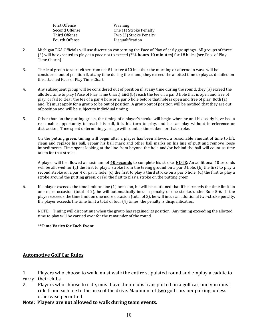| First Offense  | Warning                |
|----------------|------------------------|
| Second Offense | One (1) Stroke Penalty |
| Third Offense  | Two (2) Stroke Penalty |
| Fourth Offense | Disqualification       |
|                |                        |

- 2. Michigan PGA Officials will use discretion concerning the Pace of Play of early groupings. All groups of three (3) will be expected to play at a pace not to exceed (\*\***4 hours 10 minutes)** for 18 holes (see Pace of Play Time Charts).
- 3. The lead group to start either from tee #1 or tee #10 in either the morning or afternoon wave will be considered out of position if, at any time during the round, they exceed the allotted time to play as detailed on the attached Pace of Play Time Chart.
- 4. Any subsequent group will be considered out of position if, at any time during the round, they (a) exceed the allotted time to play (Pace of Play Time Chart) **and** (b) reach the tee on a par 3 hole that is open and free of play, or fail to clear the tee of a par 4 hole or a par 5 hole before that hole is open and free of play. Both (a) and (b) must apply for a group to be out of position. A group out of position will be notified that they are out of position and will be subject to individual timing.
- 5. Other than on the putting green, the timing of a player's stroke will begin when he and his caddy have had a reasonable opportunity to reach his ball, it is his turn to play, and he can play without interference or distraction. Time spent determining yardage will count as time taken for that stroke.

On the putting green, timing will begin after a player has been allowed a reasonable amount of time to lift, clean and replace his ball, repair his ball mark and other ball marks on his line of putt and remove loose impediments. Time spent looking at the line from beyond the hole and/or behind the ball will count as time taken for that stroke.

A player will be allowed a maximum of **40 seconds** to complete his stroke. **NOTE**: An additional 10 seconds will be allowed for (a) the first to play a stroke from the teeing ground on a par 3 hole; (b) the first to play a second stroke on a par 4 or par 5 hole; (c) the first to play a third stroke on a par 5 hole; (d) the first to play a stroke around the putting green; or (e) the first to play a stroke on the putting green.

6. If a player exceeds the time limit on one (1) occasion, he will be cautioned that if he exceeds the time limit on one more occasion (total of 2), he will automatically incur a penalty of one stroke, under Rule 5-6. If the player exceeds the time limit on one more occasion (total of 3), he will incur an additional two-stroke penalty. If a player exceeds the time limit a total of four (4) times, the penalty is disqualification.

NOTE: Timing will discontinue when the group has regained its position. Any timing exceeding the allotted time to play will be carried over for the remainder of the round.

#### \***\*Time Varies for Each Event**

#### **Automotive Golf Car Rules**

1. Players who choose to walk, must walk the entire stipulated round and employ a caddie to carry their clubs.<br>2. Plavers who

- Players who choose to ride, must have their clubs transported on a golf car, and you must ride from each tee to the area of the drive. Maximum of **two** golf cars per pairing, unless otherwise permitted
- **Note: Players are not allowed to walk during team events.**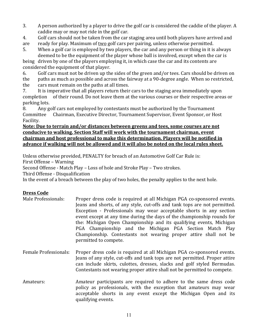- 3. A person authorized by a player to drive the golf car is considered the caddie of the player. A caddie may or may not ride in the golf car.
- 4. Golf cars should not be taken from the car staging area until both players have arrived and ready for play. Maximum of two golf cars per pairing, unless otherwise permitted.
- are ready for play. Maximum of <u>two</u> golf cars per pairing, unless otherwise permitted.<br>5. When a golf car is emploved by two players, the car and any person or thing in it is
- When a golf car is employed by two players, the car and any person or thing in it is always deemed to be the equipment of the player whose ball is involved, except when the car is

being driven by one of the players employing it, in which case the car and its contents are considered the equipment of that player.<br>6. Golf cars must not be driven up the

6. Golf cars must not be driven up the sides of the green and/or tees. Cars should be driven on the paths as much as possible and across the fairway at a 90-degree angle. When so restricted. the paths as much as possible and across the fairway at a 90-degree angle. When so restricted, the cars must remain on the paths at all times.

the cars must remain on the paths at all times.<br>7. It is imperative that all players return their 7. It is imperative that all players return their cars to the staging area immediately upon completion of their round. Do not leave them at the various courses or their respective area of their round. Do not leave them at the various courses or their respective areas or

parking lots.<br>8. Any go 8. Any golf cars not employed by contestants must be authorized by the Tournament<br>Committee Chairman, Executive Director, Tournament Supervisor, Event Sponsor, or Ho Chairman, Executive Director, Tournament Supervisor, Event Sponsor, or Host Facility.

#### **Note: Due to terrain and/or distances between greens and tees, some courses are not conducive to walking. Section Staff will work with the tournament chairman, event chairman and host professional to make this determination. Players will be notified in advance if walking will not be allowed and it will also be noted on the local rules sheet.**

Unless otherwise provided, PENALTY for breach of an Automotive Golf Car Rule is:

First Offense – Warning

Second Offense - Match Play – Loss of hole and Stroke Play – Two strokes.

Third Offense - Disqualification

In the event of a breach between the play of two holes, the penalty applies to the next hole.

### **Dress Code**

- Male Professionals: Proper dress code is required at all Michigan PGA co-sponsored events. Jeans and shorts, of any style, cut-offs and tank tops are not permitted. Exception - Professionals may wear acceptable shorts in any section event except at any time during the days of the championship rounds for the: Michigan Open Championship and its qualifying events, Michigan PGA Championship and the Michigan PGA Section Match Play Championship. Contestants not wearing proper attire shall not be permitted to compete.
- Female Professionals: Proper dress code is required at all Michigan PGA co-sponsored events. Jeans of any style, cut-offs and tank tops are not permitted. Proper attire can include skirts, culottes, dresses, slacks and golf styled Bermudas. Contestants not wearing proper attire shall not be permitted to compete.
- Amateurs: Amateur participants are required to adhere to the same dress code policy as professionals, with the exception that amateurs may wear acceptable shorts in any event except the Michigan Open and its qualifying events.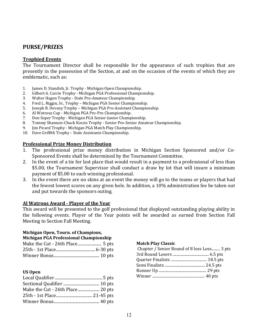### **PURSE/PRIZES**

#### **Trophied Events**

The Tournament Director shall be responsible for the appearance of such trophies that are presently in the possession of the Section, at and on the occasion of the events of which they are emblematic, such as:

- 1. James D. Standish, Jr. Trophy Michigan Open Championship.<br>2. Gilbert A. Currie Trophy Michigan PGA Professional Champio
- 2. Gilbert A. Currie Trophy Michigan PGA Professional Championship.<br>3. Walter Hagen Trophy State Pro-Amateur Championship.
- 3. Walter Hagen Trophy State Pro-Amateur Championship.
- 4. Fred L. Riggin, Sr., Trophy Michigan PGA Senior Championship.
- 5. Joseph B. Devany Trophy Michigan PGA Pro-Assistant Championship.
- 6. Al Watrous Cup Michigan PGA Pro-Pro Championship.
- 7. Don Soper Trophy Michigan PGA Senior-Junior Championship.
- 8. Tommy Shannon-Chuck Kocsis Trophy Senior Pro-Senior Amateur Championship.<br>9. Iim Picard Trophy Michigan PGA Match Play Championship.
- 9. Jim Picard Trophy Michigan PGA Match Play Championship.
- 10. Dave Griffith Trophy State Assistants Championship.

#### **Professional Prize Money Distribution**

- 1. The professional prize money distribution in Michigan Section Sponsored and/or Co-Sponsored Events shall be determined by the Tournament Committee.
- 2. In the event of a tie for last place that would result in a payment to a professional of less than \$5.00, the Tournament Supervisor shall conduct a draw by lot that will insure a minimum payment of \$5.00 to each winning professional.
- 3. In the event there are no skins at an event the money will go to the teams or players that had the fewest lowest scores on any given hole. In addition, a 10% administration fee be taken out and put towards the sponsors outing*.*

#### **Al Watrous Award - Player of the Year**

This award will be presented to the golf professional that displayed outstanding playing ability in the following events. Player of the Year points will be awarded as earned from Section Fall Meeting to Section Fall Meeting.

### **Michigan Open, Tourn. of Champions,**

| Michigan PGA Professional Championship |  |
|----------------------------------------|--|
|                                        |  |
|                                        |  |
|                                        |  |

#### **US Open**

| Make the Cut - 26th Place 20 pts |
|----------------------------------|
|                                  |
|                                  |
|                                  |

#### **Match Play Classic**

| Chapter / Senior Round of 8 loss Loss 3 pts |  |
|---------------------------------------------|--|
|                                             |  |
|                                             |  |
|                                             |  |
|                                             |  |
|                                             |  |
|                                             |  |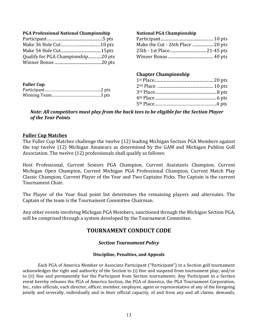| <b>National PGA Championship</b> |
|----------------------------------|
|                                  |
|                                  |
|                                  |
|                                  |
|                                  |
| <b>Chapter Championship</b>      |
|                                  |
|                                  |
|                                  |
|                                  |
|                                  |
|                                  |

*Note: All competitors must play from the back tees to be eligible for the Section Player of the Year Points*

#### **Fuller Cup Matches**

The Fuller Cup Matches challenge the twelve (12) leading Michigan Section PGA Members against the top twelve (12) Michigan Amateurs as determined by the GAM and Michigan Publinx Golf Association. The twelve (12) professionals shall qualify as follows:

Host Professional, Current Seniors PGA Champion, Current Assistants Champion, Current Michigan Open Champion, Current Michigan PGA Professional Champion, Current Match Play Classic Champion, Current Player of the Year and Two Captains Picks. The Captain is the current Tournament Chair.

The Player of the Year final point list determines the remaining players and alternates. The Captain of the team is the Tournament Committee Chairman.

Any other events involving Michigan PGA Members, sanctioned through the Michigan Section PGA, will be comprised through a system developed by the Tournament Committee.

### **TOURNAMENT CONDUCT CODE**

#### *Section Tournament Policy*

#### **Discipline, Penalties, and Appeals**

Each PGA of America Member or Associate Participant ("Participant") in a Section golf tournament acknowledges the right and authority of the Section to (i) fine and suspend from tournament play; and/or to (ii) fine and permanently bar the Participant from Section tournaments. Any Participant in a Section event hereby releases the PGA of America Section, the PGA of America, the PGA Tournament Corporation, Inc., rules officials, each director, officer, member, employee, agent or representative of any of the foregoing jointly and severally, individually and in their official capacity, of and from any and all claims, demands,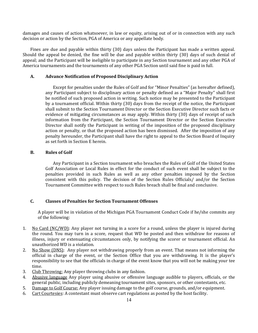damages and causes of action whatsoever, in law or equity, arising out of or in connection with any such decision or action by the Section, PGA of America or any appellate body.

Fines are due and payable within thirty (30) days unless the Participant has made a written appeal. Should the appeal be denied, the fine will be due and payable within thirty (30) days of such denial of appeal; and the Participant will be ineligible to participate in any Section tournament and any other PGA of America tournaments and the tournaments of any other PGA Section until said fine is paid in full.

#### **A. Advance Notification of Proposed Disciplinary Action**

Except for penalties under the Rules of Golf and for "Minor Penalties" (as hereafter defined), any Participant subject to disciplinary action or penalty defined as a "Major Penalty" shall first be notified of such proposed action in writing. Such notice may be presented to the Participant by a tournament official. Within thirty (30) days from the receipt of the notice, the Participant shall submit to the Section Tournament Director or the Section Executive Director such facts or evidence of mitigating circumstances as may apply. Within thirty (30) days of receipt of such information from the Participant, the Section Tournament Director or the Section Executive Director shall notify the Participant in writing of the imposition of the proposed disciplinary action or penalty, or that the proposed action has been dismissed. After the imposition of any penalty hereunder, the Participant shall have the right to appeal to the Section Board of Inquiry as set forth in Section E herein.

#### **B. Rules of Golf**

Any Participant in a Section tournament who breaches the Rules of Golf of the United States Golf Association or Local Rules in effect for the conduct of such event shall be subject to the penalties provided in such Rules as well as any other penalties imposed by the Section consistent with this policy. The decision of the Section Rules Officials/ and/or the Section Tournament Committee with respect to such Rules breach shall be final and conclusive.

#### **C. Classes of Penalties for Section Tournament Offenses**

A player will be in violation of the Michigan PGA Tournament Conduct Code if he/she commits any of the following:

- 1. No Card (NC/WD): Any player not turning in a score for a round, unless the player is injured during the round. You may turn in a score, request that WD be posted and then withdraw for reasons of illness, injury or extenuating circumstances only, by notifying the scorer or tournament official. An unauthorized WD is a violation.
- 2. No Show (DNS): Any player not withdrawing properly from an event. That means not informing the official in charge of the event, or the Section Office that you are withdrawing. It is the player's responsibility to see that the officials in charge of the event know that you will not be making your tee time.
- 3. Club Throwing: Any player throwing clubs in any fashion.<br>4. Abusive language Any player using abusive or offensive
- 4. Abusive language Any player using abusive or offensive language audible to players, officials, or the general public, including publicly demeaning tournament sites, sponsors, or other contestants, etc.
- 5. Damage to Golf Course: Any player issuing damage to the golf course, grounds, and/or equipment.<br>6. Cart Courtesies: A contestant must observe cart regulations as posted by the host facility.
- Cart Courtesies: A contestant must observe cart regulations as posted by the host facility.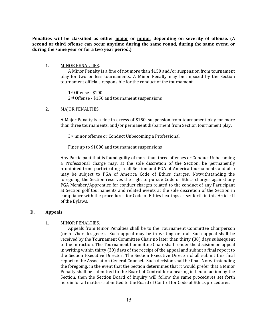**Penalties will be classified as either major or minor, depending on severity of offense. (A second or third offense can occur anytime during the same round, during the same event, or during the same year or for a two year period.)** 

#### 1. MINOR PENALTIES.

A Minor Penalty is a fine of not more than \$150 and/or suspension from tournament play for two or less tournaments. A Minor Penalty may be imposed by the Section tournament officials responsible for the conduct of the tournament.

1st Offense - \$100 2nd Offense - \$150 and tournament suspensions

#### 2. MAJOR PENALTIES.

A Major Penalty is a fine in excess of \$150, suspension from tournament play for more than three tournaments, and/or permanent disbarment from Section tournament play.

3rd minor offense or Conduct Unbecoming a Professional

Fines up to \$1000 and tournament suspensions

Any Participant that is found guilty of more than three offenses or Conduct Unbecoming a Professional charge may, at the sole discretion of the Section, be permanently prohibited from participating in all Section and PGA of America tournaments and also may be subject to PGA of America Code of Ethics charges. Notwithstanding the foregoing, the Section reserves the right to pursue Code of Ethics charges against any PGA Member/Apprentice for conduct charges related to the conduct of any Participant at Section golf tournaments and related events at the sole discretion of the Section in compliance with the procedures for Code of Ethics hearings as set forth in this Article II of the Bylaws.

#### **D. Appeals**

#### 1. MINOR PENALTIES.

Appeals from Minor Penalties shall be to the Tournament Committee Chairperson (or his/her designee). Such appeal may be in writing or oral. Such appeal shall be received by the Tournament Committee Chair no later than thirty (30) days subsequent to the infraction. The Tournament Committee Chair shall render the decision on appeal in writing within thirty (30) days of the receipt of the appeal and submit a final report to the Section Executive Director. The Section Executive Director shall submit this final report to the Association General Counsel. Such decision shall be final. Notwithstanding the foregoing, in the event that the Section determines that it would prefer that a Minor Penalty shall be submitted to the Board of Control for a hearing in lieu of action by the Section, then the Section Board of Inquiry will follow the same procedures set forth herein for all matters submitted to the Board of Control for Code of Ethics procedures.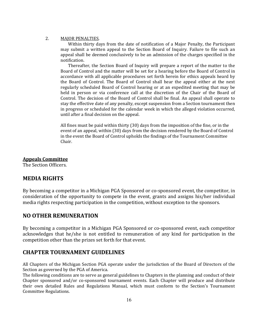#### 2. MAJOR PENALTIES.

Within thirty days from the date of notification of a Major Penalty, the Participant may submit a written appeal to the Section Board of Inquiry. Failure to file such an appeal shall be deemed conclusively to be an admission of the charges specified in the notification.

Thereafter, the Section Board of Inquiry will prepare a report of the matter to the Board of Control and the matter will be set for a hearing before the Board of Control in accordance with all applicable procedures set forth herein for ethics appeals heard by the Board of Control. The Board of Control shall hear the appeal either at the next regularly scheduled Board of Control hearing or at an expedited meeting that may be held in person or via conference call at the discretion of the Chair of the Board of Control. The decision of the Board of Control shall be final. An appeal shall operate to stay the effective date of any penalty, except suspension from a Section tournament then in progress or scheduled for the calendar week in which the alleged violation occurred, until after a final decision on the appeal.

All fines must be paid within thirty (30) days from the imposition of the fine, or in the event of an appeal, within (30) days from the decision rendered by the Board of Control in the event the Board of Control upholds the findings of the Tournament Committee Chair.

#### **Appeals Committee**

The Section Officers.

### **MEDIA RIGHTS**

By becoming a competitor in a Michigan PGA Sponsored or co-sponsored event, the competitor, in consideration of the opportunity to compete in the event, grants and assigns his/her individual media rights respecting participation in the competition, without exception to the sponsors.

### **NO OTHER REMUNERATION**

By becoming a competitor in a Michigan PGA Sponsored or co-sponsored event, each competitor acknowledges that he/she is not entitled to remuneration of any kind for participation in the competition other than the prizes set forth for that event.

### **CHAPTER TOURNAMENT GUIDELINES**

All Chapters of the Michigan Section PGA operate under the jurisdiction of the Board of Directors of the Section as governed by the PGA of America.

The following conditions are to serve as general guidelines to Chapters in the planning and conduct of their Chapter sponsored and/or co-sponsored tournament events. Each Chapter will produce and distribute their own detailed Rules and Regulations Manual, which must conform to the Section's Tournament Committee Regulations.